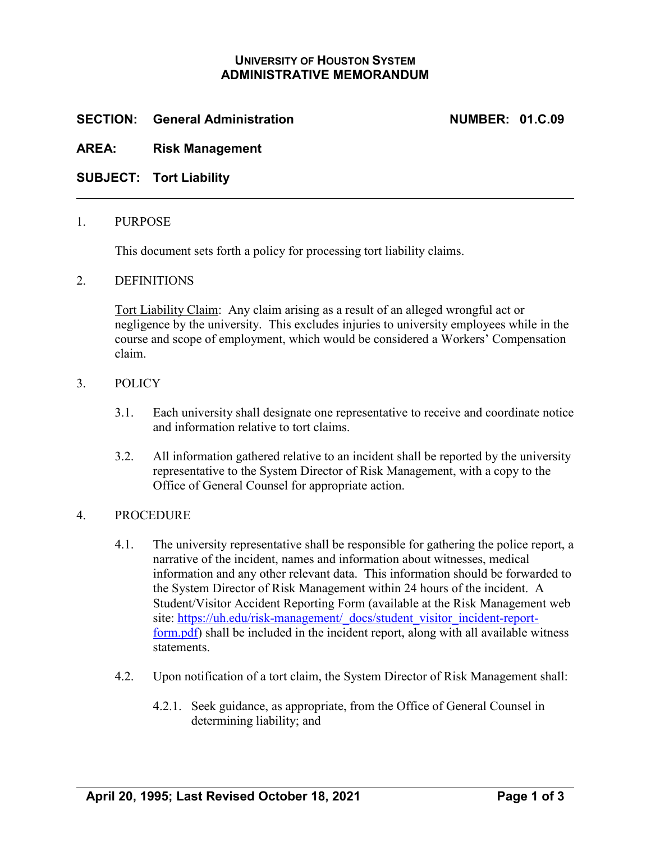# **UNIVERSITY OF HOUSTON SYSTEM ADMINISTRATIVE MEMORANDUM**

# **SECTION: General Administration NUMBER: 01.C.09**

## **AREA: Risk Management**

## **SUBJECT: Tort Liability**

#### 1. PURPOSE

This document sets forth a policy for processing tort liability claims.

2. DEFINITIONS

Tort Liability Claim: Any claim arising as a result of an alleged wrongful act or negligence by the university. This excludes injuries to university employees while in the course and scope of employment, which would be considered a Workers' Compensation claim.

## 3. POLICY

- 3.1. Each university shall designate one representative to receive and coordinate notice and information relative to tort claims.
- 3.2. All information gathered relative to an incident shall be reported by the university representative to the System Director of Risk Management, with a copy to the Office of General Counsel for appropriate action.

## 4. PROCEDURE

- 4.1. The university representative shall be responsible for gathering the police report, a narrative of the incident, names and information about witnesses, medical information and any other relevant data. This information should be forwarded to the System Director of Risk Management within 24 hours of the incident. A Student/Visitor Accident Reporting Form (available at the Risk Management web site: [https://uh.edu/risk-management/\\_docs/student\\_visitor\\_incident-report](https://uh.edu/risk-management/_docs/student_visitor_incident-report-form.pdf)[form.pdf\)](https://uh.edu/risk-management/_docs/student_visitor_incident-report-form.pdf) shall be included in the incident report, along with all available witness statements.
- 4.2. Upon notification of a tort claim, the System Director of Risk Management shall:
	- 4.2.1. Seek guidance, as appropriate, from the Office of General Counsel in determining liability; and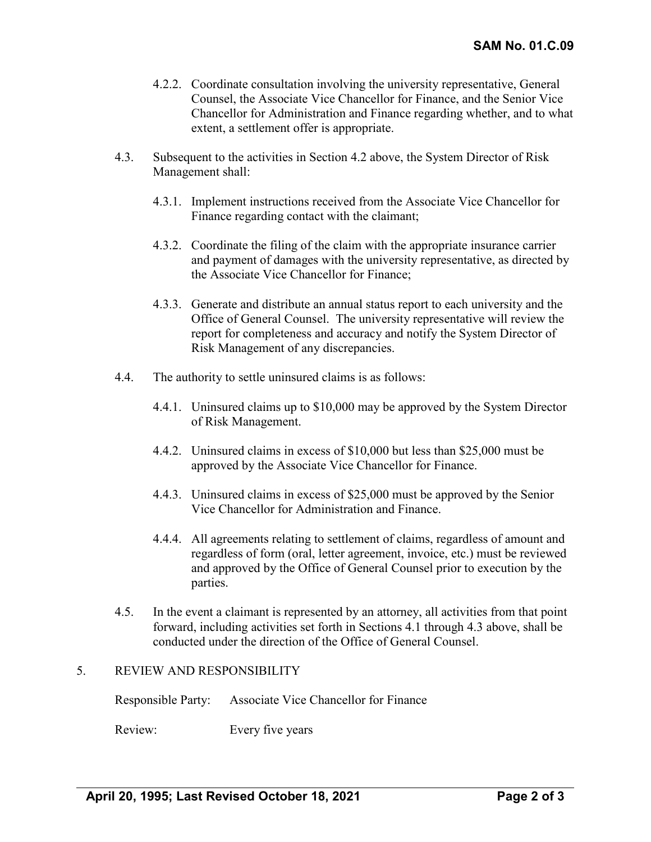- 4.2.2. Coordinate consultation involving the university representative, General Counsel, the Associate Vice Chancellor for Finance, and the Senior Vice Chancellor for Administration and Finance regarding whether, and to what extent, a settlement offer is appropriate.
- 4.3. Subsequent to the activities in Section 4.2 above, the System Director of Risk Management shall:
	- 4.3.1. Implement instructions received from the Associate Vice Chancellor for Finance regarding contact with the claimant;
	- 4.3.2. Coordinate the filing of the claim with the appropriate insurance carrier and payment of damages with the university representative, as directed by the Associate Vice Chancellor for Finance;
	- 4.3.3. Generate and distribute an annual status report to each university and the Office of General Counsel. The university representative will review the report for completeness and accuracy and notify the System Director of Risk Management of any discrepancies.
- 4.4. The authority to settle uninsured claims is as follows:
	- 4.4.1. Uninsured claims up to \$10,000 may be approved by the System Director of Risk Management.
	- 4.4.2. Uninsured claims in excess of \$10,000 but less than \$25,000 must be approved by the Associate Vice Chancellor for Finance.
	- 4.4.3. Uninsured claims in excess of \$25,000 must be approved by the Senior Vice Chancellor for Administration and Finance.
	- 4.4.4. All agreements relating to settlement of claims, regardless of amount and regardless of form (oral, letter agreement, invoice, etc.) must be reviewed and approved by the Office of General Counsel prior to execution by the parties.
- 4.5. In the event a claimant is represented by an attorney, all activities from that point forward, including activities set forth in Sections 4.1 through 4.3 above, shall be conducted under the direction of the Office of General Counsel.

## 5. REVIEW AND RESPONSIBILITY

Responsible Party: Associate Vice Chancellor for Finance

Review: Every five years